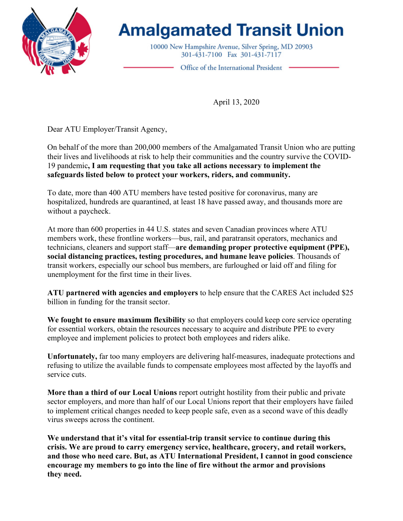

## **Amalgamated Transit Union**

10000 New Hampshire Avenue, Silver Spring, MD 20903 301-431-7100 Fax 301-431-7117

Office of the International President .

April 13, 2020

Dear ATU Employer/Transit Agency,

On behalf of the more than 200,000 members of the Amalgamated Transit Union who are putting their lives and livelihoods at risk to help their communities and the country survive the COVID-19 pandemic**, I am requesting that you take all actions necessary to implement the safeguards listed below to protect your workers, riders, and community.** 

To date, more than 400 ATU members have tested positive for coronavirus, many are hospitalized, hundreds are quarantined, at least 18 have passed away, and thousands more are without a paycheck.

At more than 600 properties in 44 U.S. states and seven Canadian provinces where ATU members work, these frontline workers—bus, rail, and paratransit operators, mechanics and technicians, cleaners and support staff—**are demanding proper protective equipment (PPE), social distancing practices, testing procedures, and humane leave policies**. Thousands of transit workers, especially our school bus members, are furloughed or laid off and filing for unemployment for the first time in their lives.

**ATU partnered with agencies and employers** to help ensure that the CARES Act included \$25 billion in funding for the transit sector.

**We fought to ensure maximum flexibility** so that employers could keep core service operating for essential workers, obtain the resources necessary to acquire and distribute PPE to every employee and implement policies to protect both employees and riders alike.

**Unfortunately,** far too many employers are delivering half-measures, inadequate protections and refusing to utilize the available funds to compensate employees most affected by the layoffs and service cuts.

**More than a third of our Local Unions** report outright hostility from their public and private sector employers, and more than half of our Local Unions report that their employers have failed to implement critical changes needed to keep people safe, even as a second wave of this deadly virus sweeps across the continent.

**We understand that it's vital for essential-trip transit service to continue during this crisis. We are proud to carry emergency service, healthcare, grocery, and retail workers, and those who need care. But, as ATU International President, I cannot in good conscience encourage my members to go into the line of fire without the armor and provisions they need.**